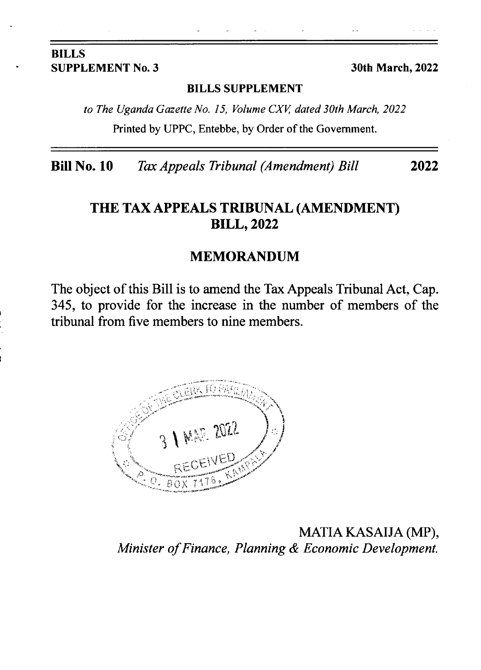#### BILLS SUPPLEMENT No. 3 30th March, 2022

#### BILLS SUPPLEMENT

to The Uganda Gazette No. 15, Volume CXV, dated 30th March, 2022 Printed by UPPC, Entebbe, by Order of the Government.

Bill No. 10 Tax Appeals Tribunal (Amendment) Bill 2022

## THE TAX APPEALS TRIBUNAL (AMENDMENT) **BILL, 2022**

#### MEMORANDUM

The object of this Bill is to amend the Tax Appeals Tribunal Act, Cap. 345, to provide for the increase in the number of members of the tribunal from five members to nine members.



MATIA KASAIJA (MP), Minister of Finance, Planning & Economic Development.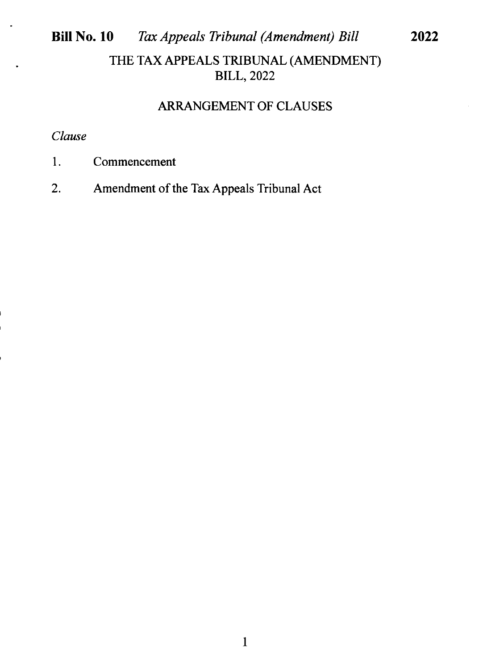# Bill No. 10 Tax Appeals Tribunal (Amendment) Bill THE TAX APPEALS TRIBUNAL (AMENDMENT) **BILL, 2022**

## ARRANGEMENT OF CLAUSES

2022

## Clause

- 1. Commencement
- 2. Amendment of the Tax Appeals Tribunal Act